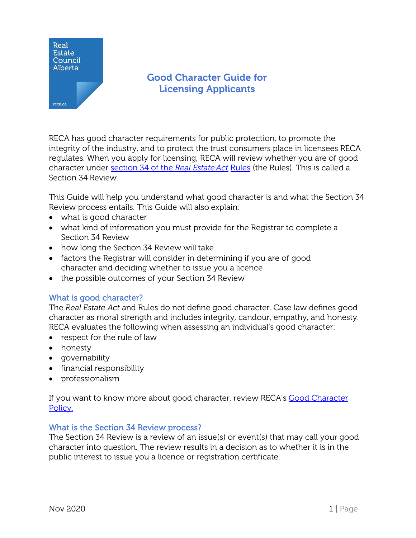

# Good Character Guide for Licensing Applicants

RECA has good character requirements for public protection, to promote the integrity of the industry, and to protect the trust consumers place in licensees RECA regulates. When you apply for licensing, RECA will review [whether you are of good](https://www.reca.ca/about-reca/legislation-standards/real-estate-act-rules/#Section34)  [character under section 34 of the](https://www.reca.ca/about-reca/legislation-standards/real-estate-act-rules/#Section34) *Real Estate Act* Rules (the Rules). This is called a [Section 34](https://www.reca.ca/about-reca/legislation-standards/real-estate-act-rules/#Section34) Review.

This Guide will help you understand what good character is and what the Section 34 Review process entails. This Guide will also explain:

- what is good character
- what kind of information you must provide for the Registrar to complete a Section 34 Review
- how long the Section 34 Review will take
- factors the Registrar will consider in determining if you are of good character and deciding whether to issue you a licence
- the possible outcomes of your Section 34 Review

# What is good character?

The *Real Estate Act* and Rules do not define good character. Case law defines good character as moral strength and includes integrity, candour, empathy, and honesty. RECA evaluates the following when assessing an individual's good character:

- respect for the rule of law
- honesty
- governability
- financial responsibility
- professionalism

If you want to know more about good character, review RECA's [Good Character](https://www.reca.ca/complaints-discipline/good-character-policy/) [Policy.](https://www.reca.ca/wp-content/uploads/PDF/Good-Character-Licensing.pdf)

### What is the Section 34 Review process?

The Section 34 Review is a review of an issue(s) or event(s) that may call your good character into question. The review results in a decision as to whether it is in the public interest to issue you a licence or registration certificate.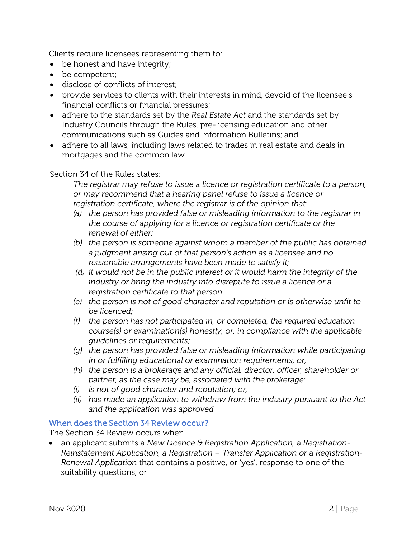Clients require licensees representing them to:

- be honest and have integrity;
- be competent;
- disclose of conflicts of interest;
- provide services to clients with their interests in mind, devoid of the licensee's financial conflicts or financial pressures;
- adhere to the standards set by the *Real Estate Act* and the standards set by Industry Councils through the Rules, pre-licensing education and other communications such as Guides and Information Bulletins; and
- adhere to all laws, including laws related to trades in real estate and deals in mortgages and the common law.

# Section 34 of the Rules states:

*The registrar may refuse to issue a licence or registration certificate to a person, or may recommend that a hearing panel refuse to issue a licence or registration certificate, where the registrar is of the opinion that:*

- *(a) the person has provided false or misleading information to the registrar in the course of applying for a licence or registration certificate or the renewal of either;*
- *(b) the person is someone against whom a member of the public has obtained a judgment arising out of that person's action as a licensee and no reasonable arrangements have been made to satisfy it;*
- *(d) it would not be in the public interest or it would harm the integrity of the industry or bring the industry into disrepute to issue a licence or a registration certificate to that person.*
- *(e) the person is not of good character and reputation or is otherwise unfit to be licenced;*
- *(f) the person has not participated in, or completed, the required education course(s) or examination(s) honestly, or, in compliance with the applicable guidelines or requirements;*
- *(g) the person has provided false or misleading information while participating in or fulfilling educational or examination requirements; or,*
- *(h) the person is a brokerage and any official, director, officer, shareholder or partner, as the case may be, associated with the brokerage:*
- *(i) is not of good character and reputation; or,*
- *(ii) has made an application to withdraw from the industry pursuant to the Act and the application was approved.*

# When does the Section 34 Review occur?

The Section 34 Review occurs when:

• an applicant submits a *New Licence & Registration Application,* a *Registration-Reinstatement Application, a Registration – Transfer Application or* a *Registration-Renewal Application* that contains a positive, or 'yes', response to one of the suitability questions, or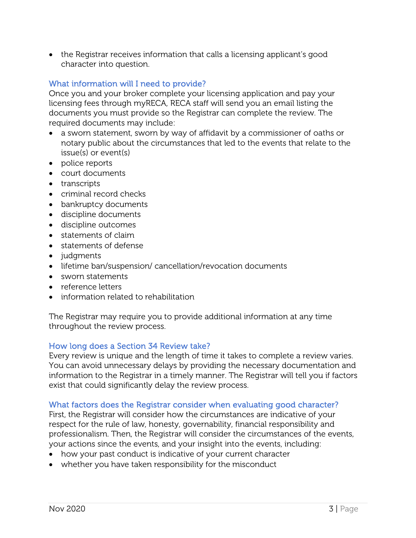• the Registrar receives information that calls a licensing applicant's good character into question.

# What information will I need to provide?

Once you and your broker complete your licensing application and pay your licensing fees through myRECA, RECA staff will send you an email listing the documents you must provide so the Registrar can complete the review. The required documents may include:

- a sworn statement, sworn by way of affidavit by a commissioner of oaths or notary public about the circumstances that led to the events that relate to the issue(s) or event(s)
- police reports
- court documents
- transcripts
- criminal record checks
- bankruptcy documents
- discipline documents
- discipline outcomes
- statements of claim
- statements of defense
- judgments
- lifetime ban/suspension/ cancellation/revocation documents
- sworn statements
- reference letters
- information related to rehabilitation

The Registrar may require you to provide additional information at any time throughout the review process.

### How long does a Section 34 Review take?

Every review is unique and the length of time it takes to complete a review varies. You can avoid unnecessary delays by providing the necessary documentation and information to the Registrar in a timely manner. The Registrar will tell you if factors exist that could significantly delay the review process.

### What factors does the Registrar consider when evaluating good character?

First, the Registrar will consider how the circumstances are indicative of your respect for the rule of law, honesty, governability, financial responsibility and professionalism. Then, the Registrar will consider the circumstances of the events, your actions since the events, and your insight into the events, including:

- how your past conduct is indicative of your current character
- whether you have taken responsibility for the misconduct